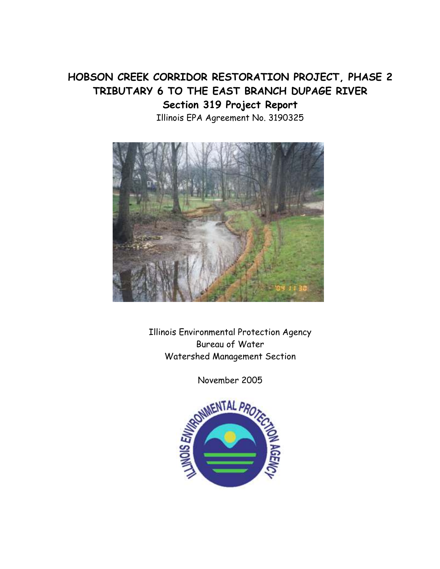# HOBSON CREEK CORRIDOR RESTORATION PROJECT, PHASE 2 TRIBUTARY 6 TO THE EAST BRANCH DUPAGE RIVER Section 319 Project Report Illinois EPA Agreement No. 3190325



Illinois Environmental Protection Agency Bureau of Water Watershed Management Section

November 2005

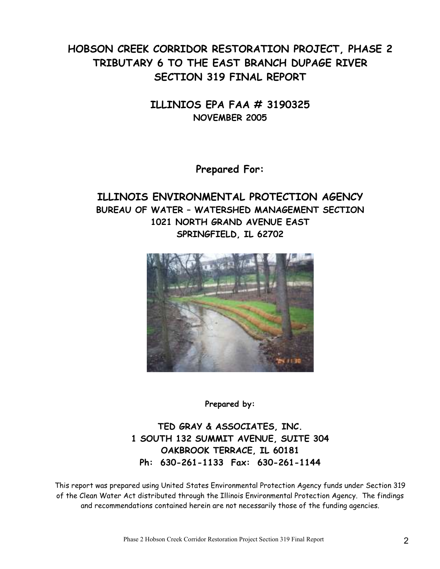# HOBSON CREEK CORRIDOR RESTORATION PROJECT, PHASE 2 TRIBUTARY 6 TO THE EAST BRANCH DUPAGE RIVER SECTION 319 FINAL REPORT

ILLINIOS EPA FAA # 3190325 NOVEMBER 2005

Prepared For:

## ILLINOIS ENVIRONMENTAL PROTECTION AGENCY BUREAU OF WATER – WATERSHED MANAGEMENT SECTION 1021 NORTH GRAND AVENUE EAST SPRINGFIELD, IL 62702



Prepared by:

TED GRAY & ASSOCIATES, INC. 1 SOUTH 132 SUMMIT AVENUE, SUITE 304 OAKBROOK TERRACE, IL 60181 Ph: 630-261-1133 Fax: 630-261-1144

This report was prepared using United States Environmental Protection Agency funds under Section 319 of the Clean Water Act distributed through the Illinois Environmental Protection Agency. The findings and recommendations contained herein are not necessarily those of the funding agencies.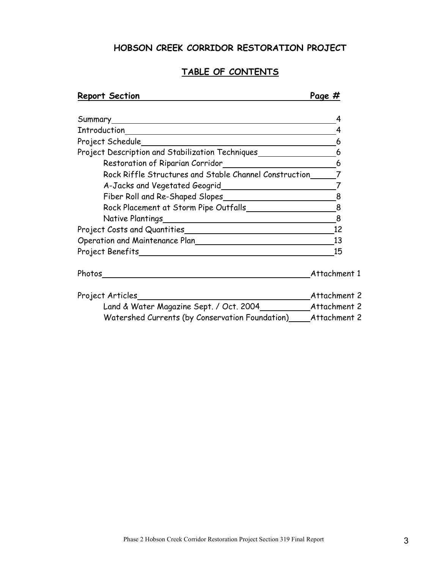## HOBSON CREEK CORRIDOR RESTORATION PROJECT

### TABLE OF CONTENTS

| <b>Report Section</b>                                                 | Page #         |
|-----------------------------------------------------------------------|----------------|
|                                                                       | 4              |
|                                                                       |                |
| Project Schedule<br><u> 1989 - Johann Barbara, martxa alemaniar a</u> | 6              |
| Project Description and Stabilization Techniques                      | 6              |
|                                                                       | 6              |
| Rock Riffle Structures and Stable Channel Construction                |                |
| A-Jacks and Vegetated Geogrid                                         | $\overline{7}$ |
| Fiber Roll and Re-Shaped Slopes                                       | 8              |
| Rock Placement at Storm Pipe Outfalls                                 | 8              |
|                                                                       | 8              |
|                                                                       | 12             |
| Operation and Maintenance Plan                                        | 13             |
|                                                                       | 15             |
| Photos                                                                | Attachment 1   |
| Project Articles                                                      | Attachment 2   |
| Land & Water Magazine Sept. / Oct. 2004 Attachment 2                  |                |
| Watershed Currents (by Conservation Foundation)_____                  | Attachment 2   |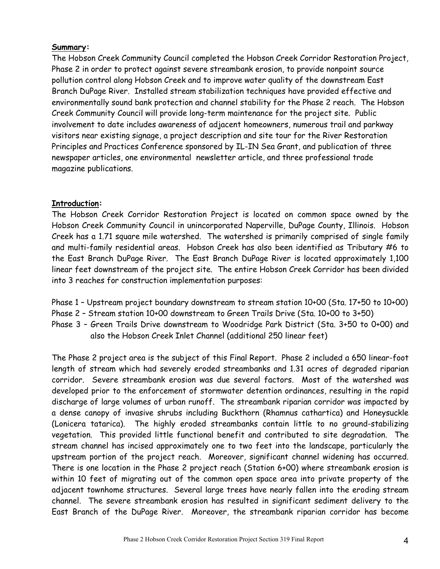### Summary:

The Hobson Creek Community Council completed the Hobson Creek Corridor Restoration Project, Phase 2 in order to protect against severe streambank erosion, to provide nonpoint source pollution control along Hobson Creek and to improve water quality of the downstream East Branch DuPage River. Installed stream stabilization techniques have provided effective and environmentally sound bank protection and channel stability for the Phase 2 reach. The Hobson Creek Community Council will provide long-term maintenance for the project site. Public involvement to date includes awareness of adjacent homeowners, numerous trail and parkway visitors near existing signage, a project description and site tour for the River Restoration Principles and Practices Conference sponsored by IL-IN Sea Grant, and publication of three newspaper articles, one environmental newsletter article, and three professional trade magazine publications.

### Introduction:

The Hobson Creek Corridor Restoration Project is located on common space owned by the Hobson Creek Community Council in unincorporated Naperville, DuPage County, Illinois. Hobson Creek has a 1.71 square mile watershed. The watershed is primarily comprised of single family and multi-family residential areas. Hobson Creek has also been identified as Tributary #6 to the East Branch DuPage River. The East Branch DuPage River is located approximately 1,100 linear feet downstream of the project site. The entire Hobson Creek Corridor has been divided into 3 reaches for construction implementation purposes:

- Phase 1 Upstream project boundary downstream to stream station 10+00 (Sta. 17+50 to 10+00)
- Phase 2 Stream station 10+00 downstream to Green Trails Drive (Sta. 10+00 to 3+50)
- Phase 3 Green Trails Drive downstream to Woodridge Park District (Sta. 3+50 to 0+00) and also the Hobson Creek Inlet Channel (additional 250 linear feet)

The Phase 2 project area is the subject of this Final Report. Phase 2 included a 650 linear-foot length of stream which had severely eroded streambanks and 1.31 acres of degraded riparian corridor. Severe streambank erosion was due several factors. Most of the watershed was developed prior to the enforcement of stormwater detention ordinances, resulting in the rapid discharge of large volumes of urban runoff. The streambank riparian corridor was impacted by a dense canopy of invasive shrubs including Buckthorn (Rhamnus cathartica) and Honeysuckle (Lonicera tatarica). The highly eroded streambanks contain little to no ground-stabilizing vegetation. This provided little functional benefit and contributed to site degradation. The stream channel has incised approximately one to two feet into the landscape, particularly the upstream portion of the project reach. Moreover, significant channel widening has occurred. There is one location in the Phase 2 project reach (Station 6+00) where streambank erosion is within 10 feet of migrating out of the common open space area into private property of the adjacent townhome structures. Several large trees have nearly fallen into the eroding stream channel. The severe streambank erosion has resulted in significant sediment delivery to the East Branch of the DuPage River. Moreover, the streambank riparian corridor has become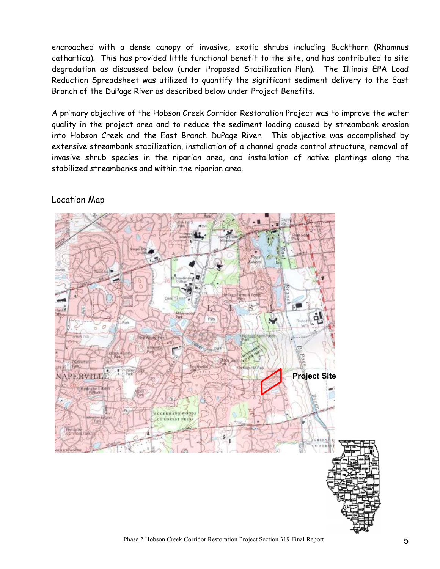encroached with a dense canopy of invasive, exotic shrubs including Buckthorn (Rhamnus cathartica). This has provided little functional benefit to the site, and has contributed to site degradation as discussed below (under Proposed Stabilization Plan). The Illinois EPA Load Reduction Spreadsheet was utilized to quantify the significant sediment delivery to the East Branch of the DuPage River as described below under Project Benefits.

A primary objective of the Hobson Creek Corridor Restoration Project was to improve the water quality in the project area and to reduce the sediment loading caused by streambank erosion into Hobson Creek and the East Branch DuPage River. This objective was accomplished by extensive streambank stabilization, installation of a channel grade control structure, removal of invasive shrub species in the riparian area, and installation of native plantings along the stabilized streambanks and within the riparian area.



### Location Map

Phase 2 Hobson Creek Corridor Restoration Project Section 319 Final Report 5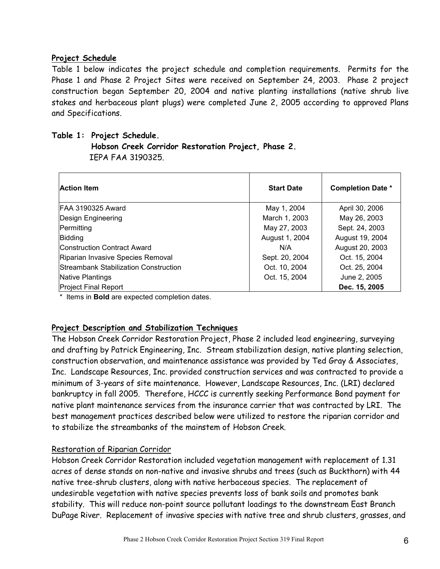### Project Schedule

Table 1 below indicates the project schedule and completion requirements. Permits for the Phase 1 and Phase 2 Project Sites were received on September 24, 2003. Phase 2 project construction began September 20, 2004 and native planting installations (native shrub live stakes and herbaceous plant plugs) were completed June 2, 2005 according to approved Plans and Specifications.

### Table 1: Project Schedule.

 Hobson Creek Corridor Restoration Project, Phase 2. IEPA FAA 3190325.

| <b>Action Item</b>                    | <b>Start Date</b> | <b>Completion Date *</b> |
|---------------------------------------|-------------------|--------------------------|
| FAA 3190325 Award                     | May 1, 2004       | April 30, 2006           |
| Design Engineering                    | March 1, 2003     | May 26, 2003             |
| Permitting                            | May 27, 2003      | Sept. 24, 2003           |
| Bidding                               | August 1, 2004    | August 19, 2004          |
| <b>Construction Contract Award</b>    | N/A               | August 20, 2003          |
| Riparian Invasive Species Removal     | Sept. 20, 2004    | Oct. 15, 2004            |
| Streambank Stabilization Construction | Oct. 10, 2004     | Oct. 25, 2004            |
| Native Plantings                      | Oct. 15, 2004     | June 2, 2005             |
| <b>Project Final Report</b>           |                   | Dec. 15, 2005            |

\* Items in Bold are expected completion dates.

### Project Description and Stabilization Techniques

The Hobson Creek Corridor Restoration Project, Phase 2 included lead engineering, surveying and drafting by Patrick Engineering, Inc. Stream stabilization design, native planting selection, construction observation, and maintenance assistance was provided by Ted Gray & Associates, Inc. Landscape Resources, Inc. provided construction services and was contracted to provide a minimum of 3-years of site maintenance. However, Landscape Resources, Inc. (LRI) declared bankruptcy in fall 2005. Therefore, HCCC is currently seeking Performance Bond payment for native plant maintenance services from the insurance carrier that was contracted by LRI. The best management practices described below were utilized to restore the riparian corridor and to stabilize the streambanks of the mainstem of Hobson Creek.

### Restoration of Riparian Corridor

Hobson Creek Corridor Restoration included vegetation management with replacement of 1.31 acres of dense stands on non-native and invasive shrubs and trees (such as Buckthorn) with 44 native tree-shrub clusters, along with native herbaceous species. The replacement of undesirable vegetation with native species prevents loss of bank soils and promotes bank stability. This will reduce non-point source pollutant loadings to the downstream East Branch DuPage River. Replacement of invasive species with native tree and shrub clusters, grasses, and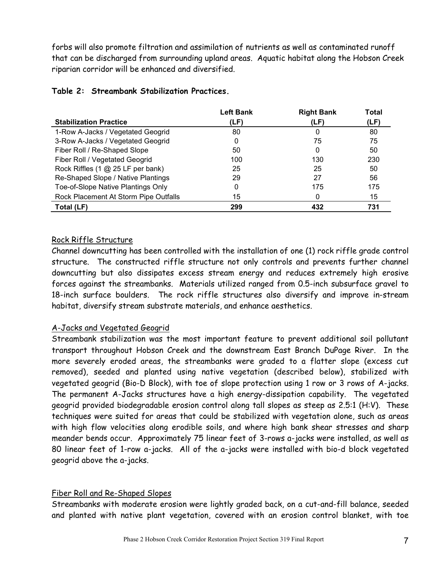forbs will also promote filtration and assimilation of nutrients as well as contaminated runoff that can be discharged from surrounding upland areas. Aquatic habitat along the Hobson Creek riparian corridor will be enhanced and diversified.

|                                       | <b>Left Bank</b> | <b>Right Bank</b> | <b>Total</b> |
|---------------------------------------|------------------|-------------------|--------------|
| <b>Stabilization Practice</b>         | (LF)             | (LF)              | (LF)         |
| 1-Row A-Jacks / Vegetated Geogrid     | 80               | 0                 | 80           |
| 3-Row A-Jacks / Vegetated Geogrid     | 0                | 75                | 75           |
| Fiber Roll / Re-Shaped Slope          | 50               | 0                 | 50           |
| Fiber Roll / Vegetated Geogrid        | 100              | 130               | 230          |
| Rock Riffles (1 @ 25 LF per bank)     | 25               | 25                | 50           |
| Re-Shaped Slope / Native Plantings    | 29               | 27                | 56           |
| Toe-of-Slope Native Plantings Only    | 0                | 175               | 175          |
| Rock Placement At Storm Pipe Outfalls | 15               | 0                 | 15           |
| Total (LF)                            | 299              | 432               | 731          |

### Table 2: Streambank Stabilization Practices.

### Rock Riffle Structure

Channel downcutting has been controlled with the installation of one (1) rock riffle grade control structure. The constructed riffle structure not only controls and prevents further channel downcutting but also dissipates excess stream energy and reduces extremely high erosive forces against the streambanks. Materials utilized ranged from 0.5-inch subsurface gravel to 18-inch surface boulders. The rock riffle structures also diversify and improve in-stream habitat, diversify stream substrate materials, and enhance aesthetics.

### A-Jacks and Vegetated Geogrid

Streambank stabilization was the most important feature to prevent additional soil pollutant transport throughout Hobson Creek and the downstream East Branch DuPage River. In the more severely eroded areas, the streambanks were graded to a flatter slope (excess cut removed), seeded and planted using native vegetation (described below), stabilized with vegetated geogrid (Bio-D Block), with toe of slope protection using 1 row or 3 rows of A-jacks. The permanent A-Jacks structures have a high energy-dissipation capability. The vegetated geogrid provided biodegradable erosion control along tall slopes as steep as 2.5:1 (H:V). These techniques were suited for areas that could be stabilized with vegetation alone, such as areas with high flow velocities along erodible soils, and where high bank shear stresses and sharp meander bends occur. Approximately 75 linear feet of 3-rows a-jacks were installed, as well as 80 linear feet of 1-row a-jacks. All of the a-jacks were installed with bio-d block vegetated geogrid above the a-jacks.

### Fiber Roll and Re-Shaped Slopes

Streambanks with moderate erosion were lightly graded back, on a cut-and-fill balance, seeded and planted with native plant vegetation, covered with an erosion control blanket, with toe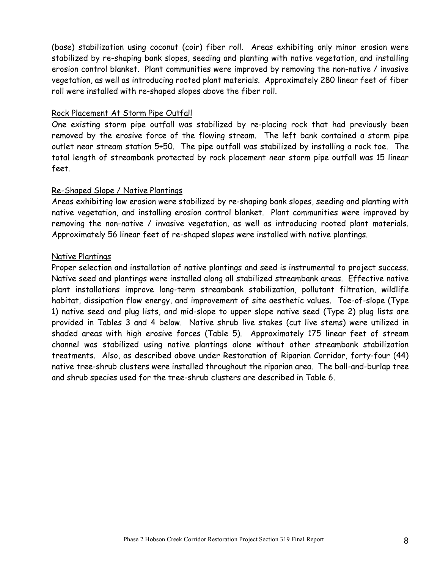(base) stabilization using coconut (coir) fiber roll. Areas exhibiting only minor erosion were stabilized by re-shaping bank slopes, seeding and planting with native vegetation, and installing erosion control blanket. Plant communities were improved by removing the non-native / invasive vegetation, as well as introducing rooted plant materials. Approximately 280 linear feet of fiber roll were installed with re-shaped slopes above the fiber roll.

### Rock Placement At Storm Pipe Outfall

One existing storm pipe outfall was stabilized by re-placing rock that had previously been removed by the erosive force of the flowing stream. The left bank contained a storm pipe outlet near stream station 5+50. The pipe outfall was stabilized by installing a rock toe. The total length of streambank protected by rock placement near storm pipe outfall was 15 linear feet.

### Re-Shaped Slope / Native Plantings

Areas exhibiting low erosion were stabilized by re-shaping bank slopes, seeding and planting with native vegetation, and installing erosion control blanket. Plant communities were improved by removing the non-native / invasive vegetation, as well as introducing rooted plant materials. Approximately 56 linear feet of re-shaped slopes were installed with native plantings.

#### Native Plantings

Proper selection and installation of native plantings and seed is instrumental to project success. Native seed and plantings were installed along all stabilized streambank areas. Effective native plant installations improve long-term streambank stabilization, pollutant filtration, wildlife habitat, dissipation flow energy, and improvement of site aesthetic values. Toe-of-slope (Type 1) native seed and plug lists, and mid-slope to upper slope native seed (Type 2) plug lists are provided in Tables 3 and 4 below. Native shrub live stakes (cut live stems) were utilized in shaded areas with high erosive forces (Table 5). Approximately 175 linear feet of stream channel was stabilized using native plantings alone without other streambank stabilization treatments. Also, as described above under Restoration of Riparian Corridor, forty-four (44) native tree-shrub clusters were installed throughout the riparian area. The ball-and-burlap tree and shrub species used for the tree-shrub clusters are described in Table 6.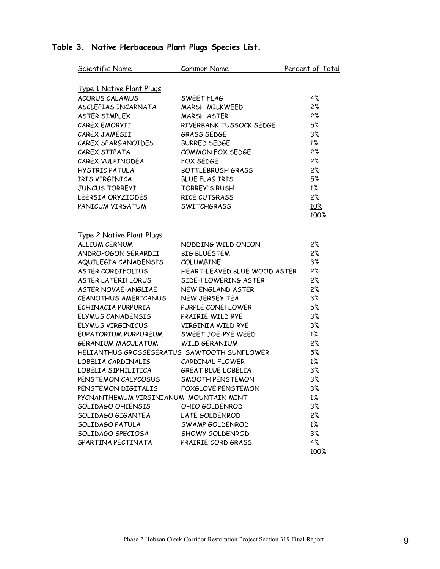### Scientific Name Common Name Percent of Total Type 1 Native Plant Plugs ACORUS CALAMUS SWEET FLAG 4% ASCLEPIAS INCARNATA MARSH MILKWEED 2% ASTER SIMPLEX MARSH ASTER 2% CAREX EMORYII RIVERBANK TUSSOCK SEDGE 5% CAREX JAMESII GRASS SEDGE 3% CAREX SPARGANOIDES BURRED SEDGE 1% CAREX STIPATA COMMON FOX SEDGE 2% CAREX VULPINODEA FOX SEDGE 2% HYSTRIC PATULA BOTTLEBRUSH GRASS 2%<br>IRIS VIRGINICA BLUE FLAG IRIS 5% IRIS VIRGINICA BLUE FLAG IRIS JUNCUS TORREYI TORREY'S RUSH 1% LEERSIA ORYZIODES RICE CUTGRASS 2% PANICUM VIRGATUM SWITCHGRASS 10%  $100\%$

| ALLIUM CERNUM                               | NODDING WILD ONION           | 2%        |
|---------------------------------------------|------------------------------|-----------|
| ANDROPOGON GERARDII                         | <b>BIG BLUESTEM</b>          | 2%        |
| AQUILEGIA CANADENSIS COLUMBINE              |                              | $3\%$     |
| ASTER CORDIFOLIUS                           | HEART-LEAVED BLUE WOOD ASTER | 2%        |
| ASTER LATERIFLORUS                          | SIDE-FLOWERING ASTER         | 2%        |
| ASTER NOVAE-ANGLIAE                         | NEW ENGLAND ASTER            | 2%        |
| CEANOTHUS AMERICANUS                        | NEW JERSEY TEA               | $3\%$     |
| ECHINACIA PURPURIA                          | PURPLE CONEFLOWER            | 5%        |
| ELYMUS CANADENSIS PRAIRIE WILD RYE          |                              | $3\%$     |
| ELYMUS VIRGINICUS VIRGINIA WILD RYE         |                              | $3\%$     |
| EUPATORIUM PURPUREUM SWEET JOE-PYE WEED     |                              | $1\%$     |
| GERANIUM MACULATUM WILD GERANIUM            |                              | 2%        |
| HELIANTHUS GROSSESERATUS SAWTOOTH SUNFLOWER |                              | 5%        |
| LOBELIA CARDINALIS CARDINAL FLOWER          |                              | $1\%$     |
| LOBELIA SIPHILITICA GREAT BLUE LOBELIA      |                              | 3%        |
| PENSTEMON CALYCOSUS SMOOTH PENSTEMON        |                              | 3%        |
| PENSTEMON DIGITALIS FOXGLOVE PENSTEMON      |                              | $3\%$     |
| PYCNANTHEMUM VIRGINIANUM MOUNTAIN MINT      |                              | $1\%$     |
| SOLIDAGO OHIENSIS                           | OHIO GOLDENROD               | $3\%$     |
| SOLIDAGO GIGANTEA LATE GOLDENROD            |                              | $2\%$     |
| SOLIDAGO PATULA SWAMP GOLDENROD             |                              | $1\%$     |
| SOLIDAGO SPECIOSA SHOWY GOLDENROD           |                              | 3%        |
| SPARTINA PECTINATA PRAIRIE CORD GRASS       |                              | <u>4%</u> |
|                                             |                              | 100%      |

### Table 3. Native Herbaceous Plant Plugs Species List.

Type 2 Native Plant Plugs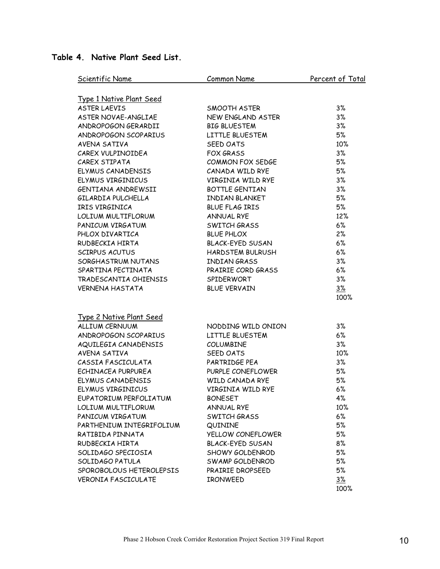### Table 4. Native Plant Seed List.

| Scientific Name                 | Common Name             | Percent of Total |
|---------------------------------|-------------------------|------------------|
| <b>Type 1 Native Plant Seed</b> |                         |                  |
| <b>ASTER LAEVIS</b>             | SMOOTH ASTER            | 3%               |
| ASTER NOVAE-ANGLIAE             | NEW ENGLAND ASTER       | 3%               |
| ANDROPOGON GERARDII             | <b>BIG BLUESTEM</b>     | 3%               |
| ANDROPOGON SCOPARIUS            | LITTLE BLUESTEM         | 5%               |
| AVENA SATIVA                    | <b>SEED OATS</b>        | 10%              |
| CAREX VULPINOIDEA               | <b>FOX GRASS</b>        | 3%               |
| CAREX STIPATA                   | COMMON FOX SEDGE        | 5%               |
| ELYMUS CANADENSIS               | CANADA WILD RYE         | 5%               |
| ELYMUS VIRGINICUS               | VIRGINIA WILD RYE       | 3%               |
| GENTIANA ANDREWSII              | <b>BOTTLE GENTIAN</b>   | 3%               |
| GILARDIA PULCHELLA              | <b>INDIAN BLANKET</b>   | 5%               |
| IRIS VIRGINICA                  | <b>BLUE FLAG IRIS</b>   | 5%               |
| LOLIUM MULTIFLORUM              | <b>ANNUAL RYE</b>       | 12%              |
| PANICUM VIRGATUM                | SWITCH GRASS            | 6%               |
| PHLOX DIVARTICA                 | <b>BLUE PHLOX</b>       | 2%               |
| RUDBECKIA HIRTA                 | <b>BLACK-EYED SUSAN</b> | 6%               |
| <b>SCIRPUS ACUTUS</b>           | HARDSTEM BULRUSH        | 6%               |
| SORGHASTRUM NUTANS              | <b>INDIAN GRASS</b>     | 3%               |
| SPARTINA PECTINATA              | PRAIRIE CORD GRASS      | 6%               |
| TRADESCANTIA OHIENSIS           | SPIDERWORT              | 3%               |
| <b>VERNENA HASTATA</b>          | <b>BLUE VERVAIN</b>     | 3%               |
|                                 |                         | 100%             |
| <b>Type 2 Native Plant Seed</b> |                         |                  |
| ALLIUM CERNUUM                  | NODDING WILD ONION      | 3%               |
| ANDROPOGON SCOPARIUS            | LITTLE BLUESTEM         | 6%               |
| AQUILEGIA CANADENSIS            | <b>COLUMBINE</b>        | 3%               |
| AVENA SATIVA                    | <b>SEED OATS</b>        | 10%              |
| CASSIA FASCICULATA              | PARTRIDGE PEA           | 3%               |
| ECHINACEA PURPUREA              | PURPLE CONEFLOWER       | 5%               |
| <b>ELYMUS CANADENSIS</b>        | <b>WILD CANADA RYE</b>  | 5%               |
| ELYMUS VIRGINICUS               | VIRGINIA WILD RYE       | 6%               |
| EUPATORIUM PERFOLIATUM          | <b>BONESET</b>          | 4%               |
| LOLIUM MULTIFLORUM              | <b>ANNUAL RYE</b>       | 10%              |
| PANICUM VIRGATUM                | <b>SWITCH GRASS</b>     | 6%               |
| PARTHENIUM INTEGRIFOLIUM        | QUININE                 | 5%               |
| RATIBIDA PINNATA                | YELLOW CONEFLOWER       | 5%               |
| RUDBECKIA HIRTA                 | <b>BLACK-EYED SUSAN</b> | 8%               |
| SOLIDAGO SPECIOSIA              | SHOWY GOLDENROD         | 5%               |
| SOLIDAGO PATULA                 | SWAMP GOLDENROD         | 5%               |
| SPOROBOLOUS HETEROLEPSIS        | PRAIRIE DROPSEED        | 5%               |
| <b>VERONIA FASCICULATE</b>      | <b>IRONWEED</b>         | $3\%$            |
|                                 |                         | 100%             |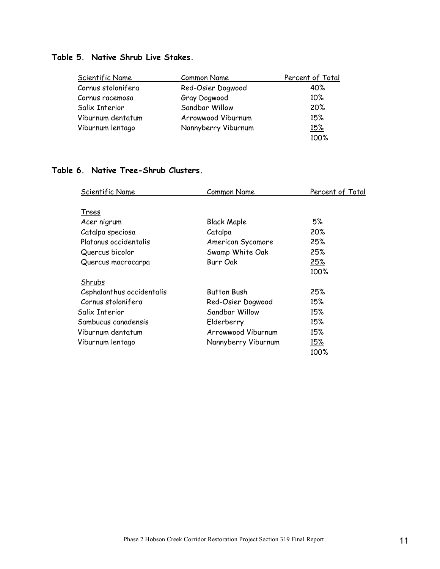### Table 5. Native Shrub Live Stakes.

| Scientific Name    | <b>Common Name</b>  | Percent of Total |
|--------------------|---------------------|------------------|
| Cornus stolonifera | Red-Osier Dogwood   | 40%              |
| Cornus racemosa    | Gray Dogwood        | 10%              |
| Salix Interior     | Sandbar Willow      | 20%              |
| Viburnum dentatum  | Arrowwood Viburnum  | 15%              |
| Viburnum lentago   | Nannyberry Viburnum | <u>15%</u>       |
|                    |                     | 100%             |

### Table 6. Native Tree-Shrub Clusters.

| Scientific Name           | <b>Common Name</b>  | Percent of Total |
|---------------------------|---------------------|------------------|
| Trees                     |                     |                  |
| Acer nigrum               | <b>Black Maple</b>  | 5%               |
| Catalpa speciosa          | Catalpa             | 20%              |
| Platanus occidentalis     | American Sycamore   | 25%              |
| Quercus bicolor           | Swamp White Oak     | 25%              |
| Quercus macrocarpa        | Burr Oak            | 25%              |
|                           |                     | 100%             |
| Shrubs                    |                     |                  |
| Cephalanthus occidentalis | <b>Button Bush</b>  | 25%              |
| Cornus stolonifera        | Red-Osier Dogwood   | 15%              |
| Salix Interior            | Sandbar Willow      | 15%              |
| Sambucus canadensis       | Elderberry          | 15%              |
| Viburnum dentatum         | Arrowwood Viburnum  | 15%              |
| Viburnum lentago          | Nannyberry Viburnum | 15%              |
|                           |                     | 100%             |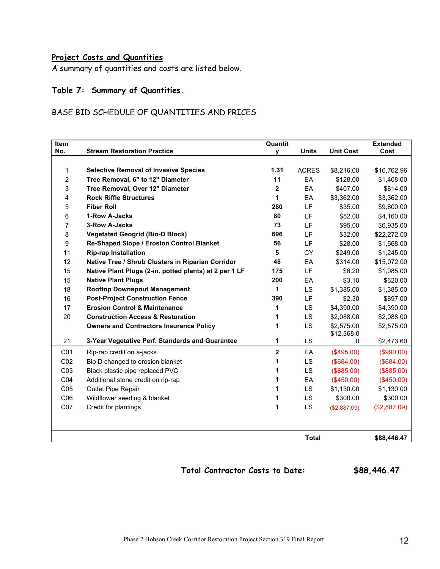### Project Costs and Quantities

A summary of quantities and costs are listed below.

### Table 7: Summary of Quantities.

### BASE BID SCHEDULE OF QUANTITIES AND PRICES

| <b>Item</b>     |                                                                  | <b>Quantit</b> |                    |                          | <b>Extended</b> |
|-----------------|------------------------------------------------------------------|----------------|--------------------|--------------------------|-----------------|
| No.             | <b>Stream Restoration Practice</b>                               | v              | <b>Units</b>       | <b>Unit Cost</b>         | Cost            |
|                 |                                                                  | 1.31           |                    |                          |                 |
| 1               | <b>Selective Removal of Invasive Species</b>                     | 11             | <b>ACRES</b><br>EA | \$8,216.00               | \$10,762.96     |
| $\overline{2}$  | Tree Removal, 6" to 12" Diameter                                 |                |                    | \$128.00                 | \$1,408.00      |
| 3               | Tree Removal, Over 12" Diameter<br><b>Rock Riffle Structures</b> | 2              | EA                 | \$407.00                 | \$814.00        |
| 4               |                                                                  | 1              | EA                 | \$3,362.00               | \$3,362.00      |
| 5               | <b>Fiber Roll</b>                                                | 280            | LF.                | \$35.00                  | \$9,800.00      |
| 6               | 1-Row A-Jacks                                                    | 80             | LF                 | \$52.00                  | \$4,160.00      |
| 7               | 3-Row A-Jacks                                                    | 73             | LF                 | \$95.00                  | \$6,935.00      |
| 8               | <b>Vegetated Geogrid (Bio-D Block)</b>                           | 696            | LF                 | \$32.00                  | \$22,272.00     |
| 9               | Re-Shaped Slope / Erosion Control Blanket                        | 56             | LF                 | \$28.00                  | \$1,568.00      |
| 11              | <b>Rip-rap Installation</b>                                      | 5              | CY                 | \$249.00                 | \$1,245.00      |
| 12              | Native Tree / Shrub Clusters in Riparian Corridor                | 48             | EA                 | \$314.00                 | \$15,072.00     |
| 15              | Native Plant Plugs (2-in. potted plants) at 2 per 1 LF           | 175            | LF                 | \$6.20                   | \$1,085.00      |
| 15              | <b>Native Plant Plugs</b>                                        | 200            | EA                 | \$3.10                   | \$620.00        |
| 18              | <b>Rooftop Downspout Management</b>                              | 1              | LS                 | \$1,385.00               | \$1,385.00      |
| 16              | <b>Post-Project Construction Fence</b>                           | 390            | LF                 | \$2.30                   | \$897.00        |
| 17              | <b>Erosion Control &amp; Maintenance</b>                         | 1              | <b>LS</b>          | \$4,390.00               | \$4,390.00      |
| 20              | <b>Construction Access &amp; Restoration</b>                     | 1              | LS                 | \$2,088.00               | \$2,088.00      |
|                 | <b>Owners and Contractors Insurance Policy</b>                   | 1              | LS                 | \$2,575.00<br>\$12,368.0 | \$2,575.00      |
| 21              | 3-Year Vegetative Perf. Standards and Guarantee                  | 1              | LS                 | 0                        | \$2,473.60      |
| C <sub>01</sub> | Rip-rap credit on a-jacks                                        | $\overline{2}$ | EA                 | $(\$495.00)$             | (\$990.00)      |
| CO <sub>2</sub> | Bio D changed to erosion blanket                                 | 1              | LS                 | (\$684.00)               | (\$684.00)      |
| C03             | Black plastic pipe replaced PVC                                  |                | LS                 | (\$885.00)               | (\$885.00)      |
| CO <sub>4</sub> | Additional stone credit on rip-rap                               |                | EA                 | (\$450.00)               | (\$450.00)      |
| CO <sub>5</sub> | Outlet Pipe Repair                                               |                | LS.                | \$1,130.00               | \$1,130.00      |
| CO6             | Wildflower seeding & blanket                                     | 1              | LS                 | \$300.00                 | \$300.00        |
| C07             | Credit for plantings                                             | 1              | <b>LS</b>          | (\$2,887.09)             | (\$2,887.09)    |
|                 |                                                                  |                |                    |                          |                 |
|                 |                                                                  |                | <b>Total</b>       |                          | \$88,446.47     |

Total Contractor Costs to Date: \$88,446.47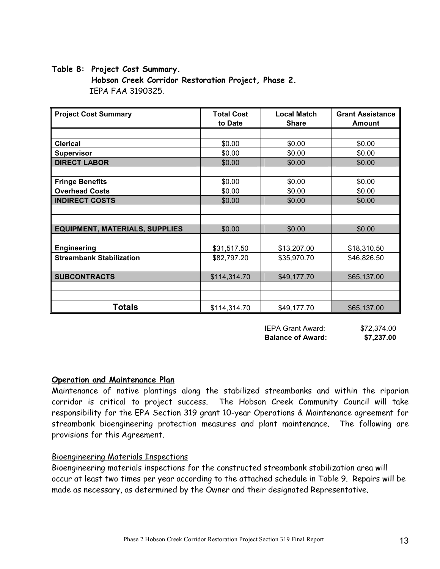#### Table 8: Project Cost Summary.

 Hobson Creek Corridor Restoration Project, Phase 2. IEPA FAA 3190325.

| <b>Project Cost Summary</b>           | <b>Local Match</b><br><b>Total Cost</b><br><b>Share</b><br>to Date |             | <b>Grant Assistance</b><br><b>Amount</b> |  |
|---------------------------------------|--------------------------------------------------------------------|-------------|------------------------------------------|--|
|                                       |                                                                    |             |                                          |  |
| <b>Clerical</b>                       | \$0.00                                                             | \$0.00      | \$0.00                                   |  |
| <b>Supervisor</b>                     | \$0.00                                                             | \$0.00      | \$0.00                                   |  |
| <b>DIRECT LABOR</b>                   | \$0.00                                                             | \$0.00      | \$0.00                                   |  |
|                                       |                                                                    |             |                                          |  |
| <b>Fringe Benefits</b>                | \$0.00                                                             | \$0.00      | \$0.00                                   |  |
| <b>Overhead Costs</b>                 | \$0.00                                                             | \$0.00      | \$0.00                                   |  |
| <b>INDIRECT COSTS</b>                 | \$0.00                                                             | \$0.00      | \$0.00                                   |  |
|                                       |                                                                    |             |                                          |  |
|                                       |                                                                    |             |                                          |  |
| <b>EQUIPMENT, MATERIALS, SUPPLIES</b> | \$0.00                                                             | \$0.00      | \$0.00                                   |  |
|                                       |                                                                    |             |                                          |  |
| <b>Engineering</b>                    | \$31,517.50                                                        | \$13,207.00 | \$18,310.50                              |  |
| <b>Streambank Stabilization</b>       | \$82,797.20                                                        | \$35,970.70 | \$46,826.50                              |  |
|                                       |                                                                    |             |                                          |  |
| <b>SUBCONTRACTS</b>                   | \$114,314.70                                                       | \$49,177.70 | \$65,137.00                              |  |
|                                       |                                                                    |             |                                          |  |
|                                       |                                                                    |             |                                          |  |
| Totals                                | \$114,314.70                                                       | \$49,177.70 | \$65,137.00                              |  |

| <b>IEPA Grant Award:</b> | \$72,374.00 |
|--------------------------|-------------|
| <b>Balance of Award:</b> | \$7,237.00  |

#### Operation and Maintenance Plan

Maintenance of native plantings along the stabilized streambanks and within the riparian corridor is critical to project success. The Hobson Creek Community Council will take responsibility for the EPA Section 319 grant 10-year Operations & Maintenance agreement for streambank bioengineering protection measures and plant maintenance. The following are provisions for this Agreement.

#### Bioengineering Materials Inspections

Bioengineering materials inspections for the constructed streambank stabilization area will occur at least two times per year according to the attached schedule in Table 9. Repairs will be made as necessary, as determined by the Owner and their designated Representative.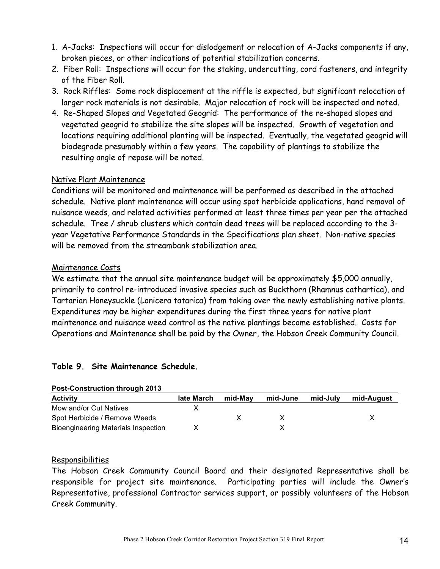- 1. A-Jacks: Inspections will occur for dislodgement or relocation of A-Jacks components if any, broken pieces, or other indications of potential stabilization concerns.
- 2. Fiber Roll: Inspections will occur for the staking, undercutting, cord fasteners, and integrity of the Fiber Roll.
- 3. Rock Riffles: Some rock displacement at the riffle is expected, but significant relocation of larger rock materials is not desirable. Major relocation of rock will be inspected and noted.
- 4. Re-Shaped Slopes and Vegetated Geogrid: The performance of the re-shaped slopes and vegetated geogrid to stabilize the site slopes will be inspected. Growth of vegetation and locations requiring additional planting will be inspected. Eventually, the vegetated geogrid will biodegrade presumably within a few years. The capability of plantings to stabilize the resulting angle of repose will be noted.

### Native Plant Maintenance

Conditions will be monitored and maintenance will be performed as described in the attached schedule. Native plant maintenance will occur using spot herbicide applications, hand removal of nuisance weeds, and related activities performed at least three times per year per the attached schedule. Tree / shrub clusters which contain dead trees will be replaced according to the 3 year Vegetative Performance Standards in the Specifications plan sheet. Non-native species will be removed from the streambank stabilization area.

### Maintenance Costs

We estimate that the annual site maintenance budget will be approximately \$5,000 annually, primarily to control re-introduced invasive species such as Buckthorn (Rhamnus cathartica), and Tartarian Honeysuckle (Lonicera tatarica) from taking over the newly establishing native plants. Expenditures may be higher expenditures during the first three years for native plant maintenance and nuisance weed control as the native plantings become established. Costs for Operations and Maintenance shall be paid by the Owner, the Hobson Creek Community Council.

### Table 9. Site Maintenance Schedule.

| <b>POSI-CONSTRUCTION INTOUGH ZUTS</b> |            |         |          |          |            |
|---------------------------------------|------------|---------|----------|----------|------------|
| <b>Activity</b>                       | late March | mid-Mav | mid-June | mid-Julv | mid-August |
| Mow and/or Cut Natives                |            |         |          |          |            |
| Spot Herbicide / Remove Weeds         |            |         |          |          |            |
| Bioengineering Materials Inspection   |            |         |          |          |            |

## Post-Construction through 2013

#### Responsibilities

The Hobson Creek Community Council Board and their designated Representative shall be responsible for project site maintenance. Participating parties will include the Owner's Representative, professional Contractor services support, or possibly volunteers of the Hobson Creek Community.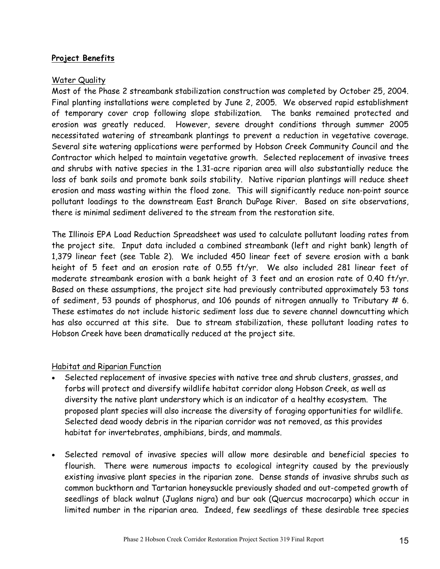### Project Benefits

### Water Quality

Most of the Phase 2 streambank stabilization construction was completed by October 25, 2004. Final planting installations were completed by June 2, 2005. We observed rapid establishment of temporary cover crop following slope stabilization. The banks remained protected and erosion was greatly reduced. However, severe drought conditions through summer 2005 necessitated watering of streambank plantings to prevent a reduction in vegetative coverage. Several site watering applications were performed by Hobson Creek Community Council and the Contractor which helped to maintain vegetative growth. Selected replacement of invasive trees and shrubs with native species in the 1.31-acre riparian area will also substantially reduce the loss of bank soils and promote bank soils stability. Native riparian plantings will reduce sheet erosion and mass wasting within the flood zone. This will significantly reduce non-point source pollutant loadings to the downstream East Branch DuPage River. Based on site observations, there is minimal sediment delivered to the stream from the restoration site.

The Illinois EPA Load Reduction Spreadsheet was used to calculate pollutant loading rates from the project site. Input data included a combined streambank (left and right bank) length of 1,379 linear feet (see Table 2). We included 450 linear feet of severe erosion with a bank height of 5 feet and an erosion rate of 0.55 ft/yr. We also included 281 linear feet of moderate streambank erosion with a bank height of 3 feet and an erosion rate of 0.40 ft/yr. Based on these assumptions, the project site had previously contributed approximately 53 tons of sediment, 53 pounds of phosphorus, and 106 pounds of nitrogen annually to Tributary  $# 6$ . These estimates do not include historic sediment loss due to severe channel downcutting which has also occurred at this site. Due to stream stabilization, these pollutant loading rates to Hobson Creek have been dramatically reduced at the project site.

### Habitat and Riparian Function

- Selected replacement of invasive species with native tree and shrub clusters, grasses, and forbs will protect and diversify wildlife habitat corridor along Hobson Creek, as well as diversity the native plant understory which is an indicator of a healthy ecosystem. The proposed plant species will also increase the diversity of foraging opportunities for wildlife. Selected dead woody debris in the riparian corridor was not removed, as this provides habitat for invertebrates, amphibians, birds, and mammals.
- Selected removal of invasive species will allow more desirable and beneficial species to flourish. There were numerous impacts to ecological integrity caused by the previously existing invasive plant species in the riparian zone. Dense stands of invasive shrubs such as common buckthorn and Tartarian honeysuckle previously shaded and out-competed growth of seedlings of black walnut (Juglans nigra) and bur oak (Quercus macrocarpa) which occur in limited number in the riparian area. Indeed, few seedlings of these desirable tree species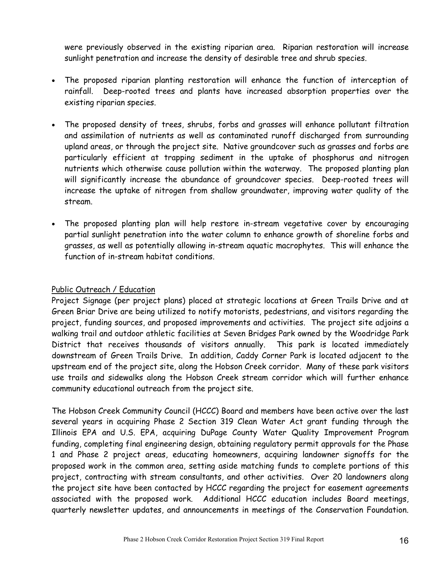were previously observed in the existing riparian area. Riparian restoration will increase sunlight penetration and increase the density of desirable tree and shrub species.

- The proposed riparian planting restoration will enhance the function of interception of rainfall. Deep-rooted trees and plants have increased absorption properties over the existing riparian species.
- The proposed density of trees, shrubs, forbs and grasses will enhance pollutant filtration and assimilation of nutrients as well as contaminated runoff discharged from surrounding upland areas, or through the project site. Native groundcover such as grasses and forbs are particularly efficient at trapping sediment in the uptake of phosphorus and nitrogen nutrients which otherwise cause pollution within the waterway. The proposed planting plan will significantly increase the abundance of groundcover species. Deep-rooted trees will increase the uptake of nitrogen from shallow groundwater, improving water quality of the stream.
- The proposed planting plan will help restore in-stream vegetative cover by encouraging partial sunlight penetration into the water column to enhance growth of shoreline forbs and grasses, as well as potentially allowing in-stream aquatic macrophytes. This will enhance the function of in-stream habitat conditions.

### Public Outreach / Education

Project Signage (per project plans) placed at strategic locations at Green Trails Drive and at Green Briar Drive are being utilized to notify motorists, pedestrians, and visitors regarding the project, funding sources, and proposed improvements and activities. The project site adjoins a walking trail and outdoor athletic facilities at Seven Bridges Park owned by the Woodridge Park District that receives thousands of visitors annually. This park is located immediately downstream of Green Trails Drive. In addition, Caddy Corner Park is located adjacent to the upstream end of the project site, along the Hobson Creek corridor. Many of these park visitors use trails and sidewalks along the Hobson Creek stream corridor which will further enhance community educational outreach from the project site.

The Hobson Creek Community Council (HCCC) Board and members have been active over the last several years in acquiring Phase 2 Section 319 Clean Water Act grant funding through the Illinois EPA and U.S. EPA, acquiring DuPage County Water Quality Improvement Program funding, completing final engineering design, obtaining regulatory permit approvals for the Phase 1 and Phase 2 project areas, educating homeowners, acquiring landowner signoffs for the proposed work in the common area, setting aside matching funds to complete portions of this project, contracting with stream consultants, and other activities. Over 20 landowners along the project site have been contacted by HCCC regarding the project for easement agreements associated with the proposed work. Additional HCCC education includes Board meetings, quarterly newsletter updates, and announcements in meetings of the Conservation Foundation.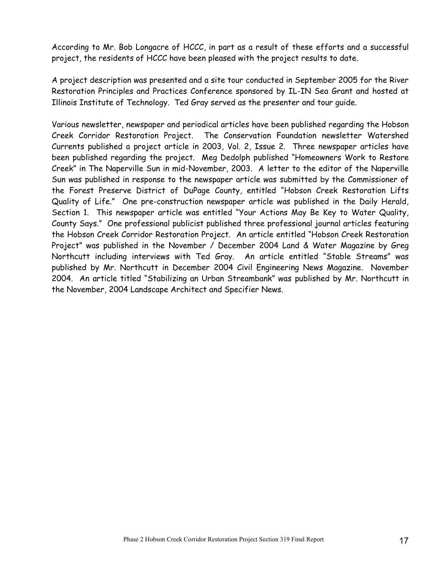According to Mr. Bob Longacre of HCCC, in part as a result of these efforts and a successful project, the residents of HCCC have been pleased with the project results to date.

A project description was presented and a site tour conducted in September 2005 for the River Restoration Principles and Practices Conference sponsored by IL-IN Sea Grant and hosted at Illinois Institute of Technology. Ted Gray served as the presenter and tour guide.

Various newsletter, newspaper and periodical articles have been published regarding the Hobson Creek Corridor Restoration Project. The Conservation Foundation newsletter Watershed Currents published a project article in 2003, Vol. 2, Issue 2. Three newspaper articles have been published regarding the project. Meg Dedolph published "Homeowners Work to Restore Creek" in The Naperville Sun in mid-November, 2003. A letter to the editor of the Naperville Sun was published in response to the newspaper article was submitted by the Commissioner of the Forest Preserve District of DuPage County, entitled "Hobson Creek Restoration Lifts Quality of Life." One pre-construction newspaper article was published in the Daily Herald, Section 1. This newspaper article was entitled "Your Actions May Be Key to Water Quality, County Says." One professional publicist published three professional journal articles featuring the Hobson Creek Corridor Restoration Project. An article entitled "Hobson Creek Restoration Project" was published in the November / December 2004 Land & Water Magazine by Greg Northcutt including interviews with Ted Gray. An article entitled "Stable Streams" was published by Mr. Northcutt in December 2004 Civil Engineering News Magazine. November 2004. An article titled "Stabilizing an Urban Streambank" was published by Mr. Northcutt in the November, 2004 Landscape Architect and Specifier News.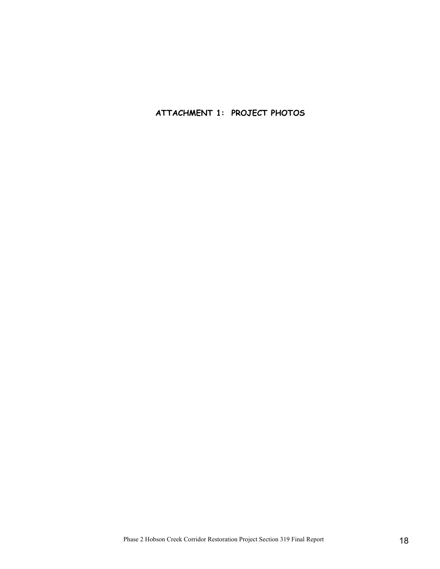ATTACHMENT 1: PROJECT PHOTOS